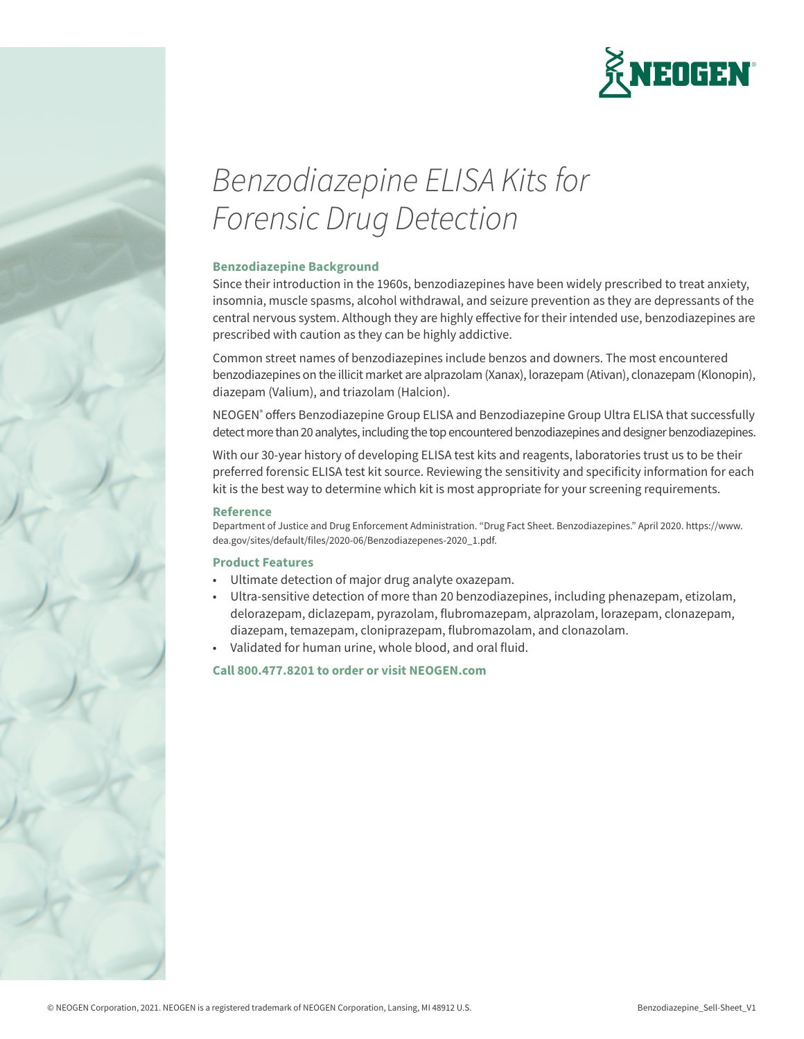

# *Benzodiazepine ELISA Kits for Forensic Drug Detection*

#### **Benzodiazepine Background**

Since their introduction in the 1960s, benzodiazepines have been widely prescribed to treat anxiety, insomnia, muscle spasms, alcohol withdrawal, and seizure prevention as they are depressants of the central nervous system. Although they are highly effective for their intended use, benzodiazepines are prescribed with caution as they can be highly addictive.

Common street names of benzodiazepines include benzos and downers. The most encountered benzodiazepines on the illicit market are alprazolam (Xanax), lorazepam (Ativan), clonazepam (Klonopin), diazepam (Valium), and triazolam (Halcion).

NEOGEN® offers Benzodiazepine Group ELISA and Benzodiazepine Group Ultra ELISA that successfully detect more than 20 analytes, including the top encountered benzodiazepines and designer benzodiazepines.

With our 30-year history of developing ELISA test kits and reagents, laboratories trust us to be their preferred forensic ELISA test kit source. Reviewing the sensitivity and specificity information for each kit is the best way to determine which kit is most appropriate for your screening requirements.

#### **Reference**

Department of Justice and Drug Enforcement Administration. "Drug Fact Sheet. Benzodiazepines." April 2020. https://www. dea.gov/sites/default/files/2020-06/Benzodiazepenes-2020\_1.pdf.

#### **Product Features**

- Ultimate detection of major drug analyte oxazepam.
- Ultra-sensitive detection of more than 20 benzodiazepines, including phenazepam, etizolam, delorazepam, diclazepam, pyrazolam, flubromazepam, alprazolam, lorazepam, clonazepam, diazepam, temazepam, cloniprazepam, flubromazolam, and clonazolam.
- Validated for human urine, whole blood, and oral fluid.

#### **Call 800.477.8201 to order or visit NEOGEN.com**